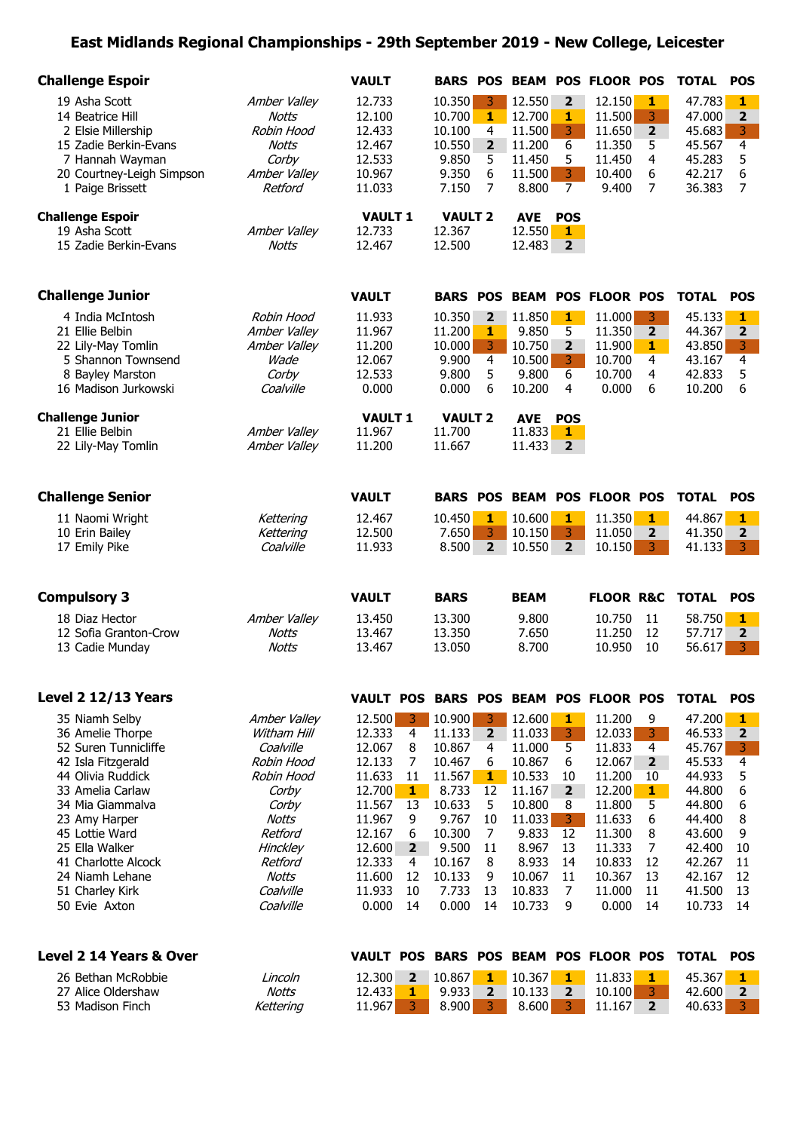## **East Midlands Regional Championships - 29th September 2019 - New College, Leicester**

| 12.733<br>10.350<br>12.550<br>$\overline{2}$<br>12.150<br>$\mathbf{1}$<br>19 Asha Scott<br>Amber Valley<br>3<br>47.783<br>$\mathbf{1}$<br>3<br><b>Notts</b><br>12.100<br>10.700<br>$\mathbf{1}$<br>12.700<br>$\mathbf{1}$<br>11.500<br>47.000<br>$\overline{\mathbf{2}}$<br>14 Beatrice Hill<br>3<br>$\overline{\mathbf{2}}$<br>3<br>2 Elsie Millership<br>Robin Hood<br>12.433<br>10.100<br>11.500<br>11.650<br>45.683<br>4<br>$\overline{4}$<br>6<br>15 Zadie Berkin-Evans<br>12.467<br>10.550<br>$\overline{2}$<br>11.200<br>11.350<br>45.567<br>Notts<br>5<br>5<br>11.450<br>5<br>11.450<br>4<br>5<br>7 Hannah Wayman<br>Corby<br>12.533<br>9.850<br>45.283<br>3<br>Amber Valley<br>9.350<br>6<br>6<br>6<br>20 Courtney-Leigh Simpson<br>10.967<br>11.500<br>10.400<br>42.217<br>7<br>$\overline{7}$<br>7<br>8.800<br>$\overline{7}$<br>1 Paige Brissett<br>Retford<br>11.033<br>7.150<br>9.400<br>36.383<br><b>Challenge Espoir</b><br><b>VAULT 2</b><br><b>VAULT 1</b><br><b>AVE</b><br><b>POS</b><br>12.550<br>19 Asha Scott<br>Amber Valley<br>12.733<br>12.367<br>1<br>12.483<br>15 Zadie Berkin-Evans<br><b>Notts</b><br>12.467<br>12.500<br>$\overline{\mathbf{2}}$<br><b>Challenge Junior</b><br><b>VAULT</b><br><b>BEAM POS FLOOR POS</b><br><b>TOTAL</b><br><b>BARS POS</b><br><b>POS</b><br>10.350<br>$\mathbf{1}$<br>11.000<br>3<br>4 India McIntosh<br>Robin Hood<br>11.933<br>$\overline{\mathbf{2}}$<br>11.850<br>45.133<br>1<br>9.850<br>5<br>$\mathbf 2$<br>$\mathbf{2}$<br>21 Ellie Belbin<br>Amber Valley<br>11.967<br>11.200<br>11.350<br>44.367<br>1<br>$\overline{3}$<br>10.750<br>$\overline{2}$<br>3<br>22 Lily-May Tomlin<br>Amber Valley<br>11.200<br>10.000<br>11.900<br>1<br>43.850<br>$\overline{4}$<br>4<br>10.500<br>3<br>5 Shannon Townsend<br>Wade<br>12.067<br>9.900<br>10.700<br>4<br>43.167<br>9.800<br>5<br>9.800<br>6<br>5<br>8 Bayley Marston<br>Corby<br>12.533<br>10.700<br>4<br>42.833<br>0.000<br>0.000<br>10.200<br>0.000<br>6<br>6<br>16 Madison Jurkowski<br>Coalville<br>6<br>4<br>10.200<br><b>Challenge Junior</b><br><b>VAULT 1</b><br><b>VAULT 2</b><br><b>POS</b><br><b>AVE</b><br>21 Ellie Belbin<br>11.700<br>11.833<br>Amber Valley<br>11.967<br>1<br>Amber Valley<br>11.200<br>11.667<br>11.433<br>$\overline{2}$<br>22 Lily-May Tomlin<br><b>Challenge Senior</b><br><b>VAULT</b><br><b>BEAM POS FLOOR POS</b><br><b>TOTAL</b><br><b>BARS POS</b><br><b>POS</b><br>10.600<br>11.350<br>11 Naomi Wright<br>12.467<br>10.450<br>1<br>1<br>1<br>44.867<br>1<br>Kettering<br>3<br>3<br>11.050<br>10 Erin Bailey<br>Kettering<br>12.500<br>7.650<br>10.150<br>$\overline{2}$<br>41.350<br>$\overline{\mathbf{2}}$<br>3<br>17 Emily Pike<br>Coalville<br>11.933<br>8.500<br>$\overline{2}$<br>10.550<br>$\overline{2}$<br>10.150<br>41.133<br>3<br><b>Compulsory 3</b><br><b>VAULT</b><br><b>TOTAL</b><br><b>BARS</b><br><b>BEAM</b><br><b>FLOOR R&amp;C</b><br><b>POS</b><br>18 Diaz Hector<br>Amber Valley<br>13.300<br>9.800<br>10.750<br>11<br>58.750<br>$\mathbf{1}$<br>13.450<br>12<br>$\overline{\mathbf{2}}$<br>12 Sofia Granton-Crow<br><b>Notts</b><br>13.350<br>7.650<br>11.250<br>57.717<br>13.467<br>3<br><b>Notts</b><br>13.050<br>8.700<br>10.950<br>10<br>56.617<br>13 Cadie Munday<br>13.467<br>Level 2 12/13 Years<br>VAULT POS BARS POS BEAM POS FLOOR POS<br><b>TOTAL</b><br><b>POS</b><br>10.900<br>35 Niamh Selby<br>Amber Valley<br>12.500<br>3.<br>3<br>12.600<br>1<br>11.200<br>9<br>47.200<br>1<br>3<br>12.033<br>36 Amelie Thorpe<br>Witham Hill<br>12.333<br>4<br>$\overline{2}$<br>11.033<br>3<br>46.533<br>2<br>11.133<br>52 Suren Tunnicliffe<br>5<br>$\overline{4}$<br>3<br>Coalville<br>12.067<br>8<br>10.867<br>4<br>11.000<br>11.833<br>45.767<br>4<br>7<br>6<br>12.067<br>$\overline{\mathbf{2}}$<br>45.533<br>42 Isla Fitzgerald<br>Robin Hood<br>12.133<br>10.467<br>6<br>10.867<br>5<br>44 Olivia Ruddick<br>Robin Hood<br>11.633<br>11<br>11.567<br>10.533<br>11.200<br>44.933<br>$\mathbf{1}$<br>10<br>10<br>6<br>33 Amelia Carlaw<br>12.700<br>8.733<br>$\overline{2}$<br>12.200<br>1<br>44.800<br>Corby<br>1<br>12<br>11.167<br>5<br>6<br>34 Mia Giammalva<br>Corby<br>11.567<br>13<br>10.633<br>5<br>10.800<br>11.800<br>44.800<br>8<br>6<br>9.767<br>11.033<br>3 <sup>1</sup><br>11.633<br>8<br>23 Amy Harper<br>Notts<br>11.967<br>9<br>10<br>44.400<br>45 Lottie Ward<br>10.300<br>9.833<br>11.300<br>8<br>9<br>Retford<br>12.167<br>6<br>7<br>12<br>43.600<br>25 Ella Walker<br>Hinckley<br>12.600<br>$2^{\circ}$<br>9.500<br>8.967<br>11.333<br>7<br>42.400<br>11<br>13<br>10<br>8.933<br>10.833<br>41 Charlotte Alcock<br>Retford<br>12.333<br>10.167<br>12<br>42.267<br>4<br>8<br>14<br>11<br>10.367<br>13<br>24 Niamh Lehane<br><b>Notts</b><br>11.600<br>12<br>10.133<br>10.067<br>11<br>42.167<br>12<br>9<br>7.733<br>$\overline{7}$<br>11.000<br>11<br>Coalville<br>11.933<br>10<br>13<br>10.833<br>41.500<br>13<br>51 Charley Kirk<br>50 Evie Axton<br>Coalville<br>0.000<br>0.000<br>10.733<br>9<br>0.000<br>14<br>10.733<br>14<br>14<br>14<br>Level 2 14 Years & Over<br><b>BARS POS BEAM POS FLOOR POS</b><br><b>TOTAL</b><br><b>VAULT POS</b><br><b>POS</b> | <b>Challenge Espoir</b> | <b>VAULT</b> | <b>BARS POS</b> |  |  |  | <b>BEAM POS FLOOR POS</b> | <b>TOTAL</b> | <b>POS</b> |
|--------------------------------------------------------------------------------------------------------------------------------------------------------------------------------------------------------------------------------------------------------------------------------------------------------------------------------------------------------------------------------------------------------------------------------------------------------------------------------------------------------------------------------------------------------------------------------------------------------------------------------------------------------------------------------------------------------------------------------------------------------------------------------------------------------------------------------------------------------------------------------------------------------------------------------------------------------------------------------------------------------------------------------------------------------------------------------------------------------------------------------------------------------------------------------------------------------------------------------------------------------------------------------------------------------------------------------------------------------------------------------------------------------------------------------------------------------------------------------------------------------------------------------------------------------------------------------------------------------------------------------------------------------------------------------------------------------------------------------------------------------------------------------------------------------------------------------------------------------------------------------------------------------------------------------------------------------------------------------------------------------------------------------------------------------------------------------------------------------------------------------------------------------------------------------------------------------------------------------------------------------------------------------------------------------------------------------------------------------------------------------------------------------------------------------------------------------------------------------------------------------------------------------------------------------------------------------------------------------------------------------------------------------------------------------------------------------------------------------------------------------------------------------------------------------------------------------------------------------------------------------------------------------------------------------------------------------------------------------------------------------------------------------------------------------------------------------------------------------------------------------------------------------------------------------------------------------------------------------------------------------------------------------------------------------------------------------------------------------------------------------------------------------------------------------------------------------------------------------------------------------------------------------------------------------------------------------------------------------------------------------------------------------------------------------------------------------------------------------------------------------------------------------------------------------------------------------------------------------------------------------------------------------------------------------------------------------------------------------------------------------------------------------------------------------------------------------------------------------------------------------------------------------------------------------------------------------------------------------------------------------------------------------------------------------------------------------------------------------------------------------------------------------------------------------------------------------------------------------------------------------------------------------------------------------------------------------------------------------------------------------------------------------------------------------------------------------------------------------------------------------------------------------------------------------------------------------------------------------------------------------------------------------------------------------------------------------------------------------------------------------------------------------------------------------------------------------------------------------------------------------------------------------------------------------|-------------------------|--------------|-----------------|--|--|--|---------------------------|--------------|------------|
|                                                                                                                                                                                                                                                                                                                                                                                                                                                                                                                                                                                                                                                                                                                                                                                                                                                                                                                                                                                                                                                                                                                                                                                                                                                                                                                                                                                                                                                                                                                                                                                                                                                                                                                                                                                                                                                                                                                                                                                                                                                                                                                                                                                                                                                                                                                                                                                                                                                                                                                                                                                                                                                                                                                                                                                                                                                                                                                                                                                                                                                                                                                                                                                                                                                                                                                                                                                                                                                                                                                                                                                                                                                                                                                                                                                                                                                                                                                                                                                                                                                                                                                                                                                                                                                                                                                                                                                                                                                                                                                                                                                                                                                                                                                                                                                                                                                                                                                                                                                                                                                                                                                                                                                |                         |              |                 |  |  |  |                           |              |            |
|                                                                                                                                                                                                                                                                                                                                                                                                                                                                                                                                                                                                                                                                                                                                                                                                                                                                                                                                                                                                                                                                                                                                                                                                                                                                                                                                                                                                                                                                                                                                                                                                                                                                                                                                                                                                                                                                                                                                                                                                                                                                                                                                                                                                                                                                                                                                                                                                                                                                                                                                                                                                                                                                                                                                                                                                                                                                                                                                                                                                                                                                                                                                                                                                                                                                                                                                                                                                                                                                                                                                                                                                                                                                                                                                                                                                                                                                                                                                                                                                                                                                                                                                                                                                                                                                                                                                                                                                                                                                                                                                                                                                                                                                                                                                                                                                                                                                                                                                                                                                                                                                                                                                                                                |                         |              |                 |  |  |  |                           |              |            |
|                                                                                                                                                                                                                                                                                                                                                                                                                                                                                                                                                                                                                                                                                                                                                                                                                                                                                                                                                                                                                                                                                                                                                                                                                                                                                                                                                                                                                                                                                                                                                                                                                                                                                                                                                                                                                                                                                                                                                                                                                                                                                                                                                                                                                                                                                                                                                                                                                                                                                                                                                                                                                                                                                                                                                                                                                                                                                                                                                                                                                                                                                                                                                                                                                                                                                                                                                                                                                                                                                                                                                                                                                                                                                                                                                                                                                                                                                                                                                                                                                                                                                                                                                                                                                                                                                                                                                                                                                                                                                                                                                                                                                                                                                                                                                                                                                                                                                                                                                                                                                                                                                                                                                                                |                         |              |                 |  |  |  |                           |              |            |
|                                                                                                                                                                                                                                                                                                                                                                                                                                                                                                                                                                                                                                                                                                                                                                                                                                                                                                                                                                                                                                                                                                                                                                                                                                                                                                                                                                                                                                                                                                                                                                                                                                                                                                                                                                                                                                                                                                                                                                                                                                                                                                                                                                                                                                                                                                                                                                                                                                                                                                                                                                                                                                                                                                                                                                                                                                                                                                                                                                                                                                                                                                                                                                                                                                                                                                                                                                                                                                                                                                                                                                                                                                                                                                                                                                                                                                                                                                                                                                                                                                                                                                                                                                                                                                                                                                                                                                                                                                                                                                                                                                                                                                                                                                                                                                                                                                                                                                                                                                                                                                                                                                                                                                                |                         |              |                 |  |  |  |                           |              |            |
|                                                                                                                                                                                                                                                                                                                                                                                                                                                                                                                                                                                                                                                                                                                                                                                                                                                                                                                                                                                                                                                                                                                                                                                                                                                                                                                                                                                                                                                                                                                                                                                                                                                                                                                                                                                                                                                                                                                                                                                                                                                                                                                                                                                                                                                                                                                                                                                                                                                                                                                                                                                                                                                                                                                                                                                                                                                                                                                                                                                                                                                                                                                                                                                                                                                                                                                                                                                                                                                                                                                                                                                                                                                                                                                                                                                                                                                                                                                                                                                                                                                                                                                                                                                                                                                                                                                                                                                                                                                                                                                                                                                                                                                                                                                                                                                                                                                                                                                                                                                                                                                                                                                                                                                |                         |              |                 |  |  |  |                           |              |            |
|                                                                                                                                                                                                                                                                                                                                                                                                                                                                                                                                                                                                                                                                                                                                                                                                                                                                                                                                                                                                                                                                                                                                                                                                                                                                                                                                                                                                                                                                                                                                                                                                                                                                                                                                                                                                                                                                                                                                                                                                                                                                                                                                                                                                                                                                                                                                                                                                                                                                                                                                                                                                                                                                                                                                                                                                                                                                                                                                                                                                                                                                                                                                                                                                                                                                                                                                                                                                                                                                                                                                                                                                                                                                                                                                                                                                                                                                                                                                                                                                                                                                                                                                                                                                                                                                                                                                                                                                                                                                                                                                                                                                                                                                                                                                                                                                                                                                                                                                                                                                                                                                                                                                                                                |                         |              |                 |  |  |  |                           |              |            |
|                                                                                                                                                                                                                                                                                                                                                                                                                                                                                                                                                                                                                                                                                                                                                                                                                                                                                                                                                                                                                                                                                                                                                                                                                                                                                                                                                                                                                                                                                                                                                                                                                                                                                                                                                                                                                                                                                                                                                                                                                                                                                                                                                                                                                                                                                                                                                                                                                                                                                                                                                                                                                                                                                                                                                                                                                                                                                                                                                                                                                                                                                                                                                                                                                                                                                                                                                                                                                                                                                                                                                                                                                                                                                                                                                                                                                                                                                                                                                                                                                                                                                                                                                                                                                                                                                                                                                                                                                                                                                                                                                                                                                                                                                                                                                                                                                                                                                                                                                                                                                                                                                                                                                                                |                         |              |                 |  |  |  |                           |              |            |
|                                                                                                                                                                                                                                                                                                                                                                                                                                                                                                                                                                                                                                                                                                                                                                                                                                                                                                                                                                                                                                                                                                                                                                                                                                                                                                                                                                                                                                                                                                                                                                                                                                                                                                                                                                                                                                                                                                                                                                                                                                                                                                                                                                                                                                                                                                                                                                                                                                                                                                                                                                                                                                                                                                                                                                                                                                                                                                                                                                                                                                                                                                                                                                                                                                                                                                                                                                                                                                                                                                                                                                                                                                                                                                                                                                                                                                                                                                                                                                                                                                                                                                                                                                                                                                                                                                                                                                                                                                                                                                                                                                                                                                                                                                                                                                                                                                                                                                                                                                                                                                                                                                                                                                                |                         |              |                 |  |  |  |                           |              |            |
|                                                                                                                                                                                                                                                                                                                                                                                                                                                                                                                                                                                                                                                                                                                                                                                                                                                                                                                                                                                                                                                                                                                                                                                                                                                                                                                                                                                                                                                                                                                                                                                                                                                                                                                                                                                                                                                                                                                                                                                                                                                                                                                                                                                                                                                                                                                                                                                                                                                                                                                                                                                                                                                                                                                                                                                                                                                                                                                                                                                                                                                                                                                                                                                                                                                                                                                                                                                                                                                                                                                                                                                                                                                                                                                                                                                                                                                                                                                                                                                                                                                                                                                                                                                                                                                                                                                                                                                                                                                                                                                                                                                                                                                                                                                                                                                                                                                                                                                                                                                                                                                                                                                                                                                |                         |              |                 |  |  |  |                           |              |            |
|                                                                                                                                                                                                                                                                                                                                                                                                                                                                                                                                                                                                                                                                                                                                                                                                                                                                                                                                                                                                                                                                                                                                                                                                                                                                                                                                                                                                                                                                                                                                                                                                                                                                                                                                                                                                                                                                                                                                                                                                                                                                                                                                                                                                                                                                                                                                                                                                                                                                                                                                                                                                                                                                                                                                                                                                                                                                                                                                                                                                                                                                                                                                                                                                                                                                                                                                                                                                                                                                                                                                                                                                                                                                                                                                                                                                                                                                                                                                                                                                                                                                                                                                                                                                                                                                                                                                                                                                                                                                                                                                                                                                                                                                                                                                                                                                                                                                                                                                                                                                                                                                                                                                                                                |                         |              |                 |  |  |  |                           |              |            |
|                                                                                                                                                                                                                                                                                                                                                                                                                                                                                                                                                                                                                                                                                                                                                                                                                                                                                                                                                                                                                                                                                                                                                                                                                                                                                                                                                                                                                                                                                                                                                                                                                                                                                                                                                                                                                                                                                                                                                                                                                                                                                                                                                                                                                                                                                                                                                                                                                                                                                                                                                                                                                                                                                                                                                                                                                                                                                                                                                                                                                                                                                                                                                                                                                                                                                                                                                                                                                                                                                                                                                                                                                                                                                                                                                                                                                                                                                                                                                                                                                                                                                                                                                                                                                                                                                                                                                                                                                                                                                                                                                                                                                                                                                                                                                                                                                                                                                                                                                                                                                                                                                                                                                                                |                         |              |                 |  |  |  |                           |              |            |
|                                                                                                                                                                                                                                                                                                                                                                                                                                                                                                                                                                                                                                                                                                                                                                                                                                                                                                                                                                                                                                                                                                                                                                                                                                                                                                                                                                                                                                                                                                                                                                                                                                                                                                                                                                                                                                                                                                                                                                                                                                                                                                                                                                                                                                                                                                                                                                                                                                                                                                                                                                                                                                                                                                                                                                                                                                                                                                                                                                                                                                                                                                                                                                                                                                                                                                                                                                                                                                                                                                                                                                                                                                                                                                                                                                                                                                                                                                                                                                                                                                                                                                                                                                                                                                                                                                                                                                                                                                                                                                                                                                                                                                                                                                                                                                                                                                                                                                                                                                                                                                                                                                                                                                                |                         |              |                 |  |  |  |                           |              |            |
|                                                                                                                                                                                                                                                                                                                                                                                                                                                                                                                                                                                                                                                                                                                                                                                                                                                                                                                                                                                                                                                                                                                                                                                                                                                                                                                                                                                                                                                                                                                                                                                                                                                                                                                                                                                                                                                                                                                                                                                                                                                                                                                                                                                                                                                                                                                                                                                                                                                                                                                                                                                                                                                                                                                                                                                                                                                                                                                                                                                                                                                                                                                                                                                                                                                                                                                                                                                                                                                                                                                                                                                                                                                                                                                                                                                                                                                                                                                                                                                                                                                                                                                                                                                                                                                                                                                                                                                                                                                                                                                                                                                                                                                                                                                                                                                                                                                                                                                                                                                                                                                                                                                                                                                |                         |              |                 |  |  |  |                           |              |            |
|                                                                                                                                                                                                                                                                                                                                                                                                                                                                                                                                                                                                                                                                                                                                                                                                                                                                                                                                                                                                                                                                                                                                                                                                                                                                                                                                                                                                                                                                                                                                                                                                                                                                                                                                                                                                                                                                                                                                                                                                                                                                                                                                                                                                                                                                                                                                                                                                                                                                                                                                                                                                                                                                                                                                                                                                                                                                                                                                                                                                                                                                                                                                                                                                                                                                                                                                                                                                                                                                                                                                                                                                                                                                                                                                                                                                                                                                                                                                                                                                                                                                                                                                                                                                                                                                                                                                                                                                                                                                                                                                                                                                                                                                                                                                                                                                                                                                                                                                                                                                                                                                                                                                                                                |                         |              |                 |  |  |  |                           |              |            |
|                                                                                                                                                                                                                                                                                                                                                                                                                                                                                                                                                                                                                                                                                                                                                                                                                                                                                                                                                                                                                                                                                                                                                                                                                                                                                                                                                                                                                                                                                                                                                                                                                                                                                                                                                                                                                                                                                                                                                                                                                                                                                                                                                                                                                                                                                                                                                                                                                                                                                                                                                                                                                                                                                                                                                                                                                                                                                                                                                                                                                                                                                                                                                                                                                                                                                                                                                                                                                                                                                                                                                                                                                                                                                                                                                                                                                                                                                                                                                                                                                                                                                                                                                                                                                                                                                                                                                                                                                                                                                                                                                                                                                                                                                                                                                                                                                                                                                                                                                                                                                                                                                                                                                                                |                         |              |                 |  |  |  |                           |              |            |
|                                                                                                                                                                                                                                                                                                                                                                                                                                                                                                                                                                                                                                                                                                                                                                                                                                                                                                                                                                                                                                                                                                                                                                                                                                                                                                                                                                                                                                                                                                                                                                                                                                                                                                                                                                                                                                                                                                                                                                                                                                                                                                                                                                                                                                                                                                                                                                                                                                                                                                                                                                                                                                                                                                                                                                                                                                                                                                                                                                                                                                                                                                                                                                                                                                                                                                                                                                                                                                                                                                                                                                                                                                                                                                                                                                                                                                                                                                                                                                                                                                                                                                                                                                                                                                                                                                                                                                                                                                                                                                                                                                                                                                                                                                                                                                                                                                                                                                                                                                                                                                                                                                                                                                                |                         |              |                 |  |  |  |                           |              |            |
|                                                                                                                                                                                                                                                                                                                                                                                                                                                                                                                                                                                                                                                                                                                                                                                                                                                                                                                                                                                                                                                                                                                                                                                                                                                                                                                                                                                                                                                                                                                                                                                                                                                                                                                                                                                                                                                                                                                                                                                                                                                                                                                                                                                                                                                                                                                                                                                                                                                                                                                                                                                                                                                                                                                                                                                                                                                                                                                                                                                                                                                                                                                                                                                                                                                                                                                                                                                                                                                                                                                                                                                                                                                                                                                                                                                                                                                                                                                                                                                                                                                                                                                                                                                                                                                                                                                                                                                                                                                                                                                                                                                                                                                                                                                                                                                                                                                                                                                                                                                                                                                                                                                                                                                |                         |              |                 |  |  |  |                           |              |            |
|                                                                                                                                                                                                                                                                                                                                                                                                                                                                                                                                                                                                                                                                                                                                                                                                                                                                                                                                                                                                                                                                                                                                                                                                                                                                                                                                                                                                                                                                                                                                                                                                                                                                                                                                                                                                                                                                                                                                                                                                                                                                                                                                                                                                                                                                                                                                                                                                                                                                                                                                                                                                                                                                                                                                                                                                                                                                                                                                                                                                                                                                                                                                                                                                                                                                                                                                                                                                                                                                                                                                                                                                                                                                                                                                                                                                                                                                                                                                                                                                                                                                                                                                                                                                                                                                                                                                                                                                                                                                                                                                                                                                                                                                                                                                                                                                                                                                                                                                                                                                                                                                                                                                                                                |                         |              |                 |  |  |  |                           |              |            |
| 11.833<br>26 Bethan McRobbie<br>12,300<br>$\overline{2}$<br>10.867<br>1<br>10.367<br>1<br>1<br>45.367<br>1<br>Lincoln<br>12.433<br>3<br>27 Alice Oldershaw<br><b>Notts</b><br>9.933<br>$\overline{2}$<br>10.133<br>$\overline{2}$<br>10.100<br>42.600<br>2<br>1<br>53 Madison Finch<br>Kettering<br>11.967<br>$\overline{3}$<br>8.900<br>3<br>8.600<br>3<br>11.167<br>40.633<br>$\overline{\mathbf{3}}$<br>$\overline{2}$                                                                                                                                                                                                                                                                                                                                                                                                                                                                                                                                                                                                                                                                                                                                                                                                                                                                                                                                                                                                                                                                                                                                                                                                                                                                                                                                                                                                                                                                                                                                                                                                                                                                                                                                                                                                                                                                                                                                                                                                                                                                                                                                                                                                                                                                                                                                                                                                                                                                                                                                                                                                                                                                                                                                                                                                                                                                                                                                                                                                                                                                                                                                                                                                                                                                                                                                                                                                                                                                                                                                                                                                                                                                                                                                                                                                                                                                                                                                                                                                                                                                                                                                                                                                                                                                                                                                                                                                                                                                                                                                                                                                                                                                                                                                                      |                         |              |                 |  |  |  |                           |              |            |